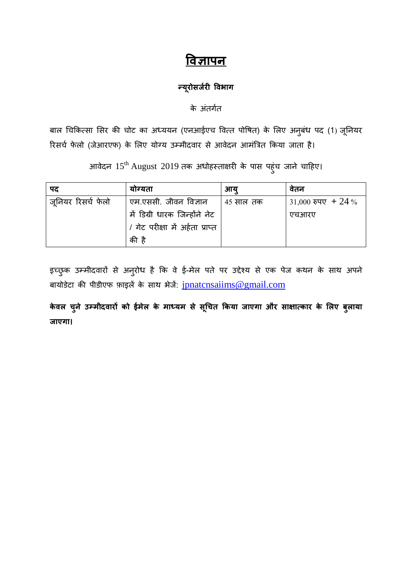# **विज्ञापन**

#### **न्यरूोसर्रज ी विभाग**

के अंतर्गत

बाल चिकित्सा सिर की चोट का अध्ययन (एनआईएच वित्त पोषित) के लिए अनुबंध पद (1) जूनियर रिसर्च फेलो (जेआरएफ) के लिए योग्य उम्मीदवार से आवेदन आमंत्रित किया जाता है।

आवेदन  $15^{\rm th}$  August 2019 तक अधोहस्ताक्षरी के पास पहुंच जाने चाहिए।

| पद                 | योग्यता                          | आय        | वेतन               |
|--------------------|----------------------------------|-----------|--------------------|
| ज़नियर रिसर्च फेलो | एम.एससी. जीवन विज्ञान            | 45 साल तक | 31,000 रुपए + 24 % |
|                    | में डिग्री धारक जिन्होंने नेट    |           | एचआरए              |
|                    | / गेट परीक्षा में अर्हता प्राप्त |           |                    |
|                    | की है                            |           |                    |

इच्छुक उम्मीदवारों से अनुरोध है कि वे ई-मेल पते पर उद्देश्य से एक पेज कथन के साथ अपने बायोडेटा की पीडीएफ फ़ाइलें के साथ भेजें: [jpnatcnsaiims@gmail.com](mailto:jpnatcnsaiims@gmail.com)

**केिल चुने उम्मीदिारों को ईमेल के माध्यम से सचूचत ककया र्ाएगा और साक्षात्कार के ललए बलु ाया र्ाएगा।**